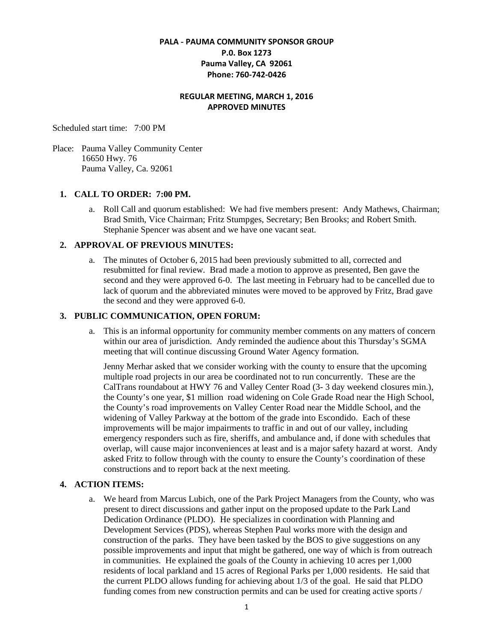# **PALA - PAUMA COMMUNITY SPONSOR GROUP P.0. Box 1273 Pauma Valley, CA 92061 Phone: 760-742-0426**

## **REGULAR MEETING, MARCH 1, 2016 APPROVED MINUTES**

Scheduled start time: 7:00 PM

Place: Pauma Valley Community Center 16650 Hwy. 76 Pauma Valley, Ca. 92061

## **1. CALL TO ORDER: 7:00 PM.**

a. Roll Call and quorum established: We had five members present: Andy Mathews, Chairman; Brad Smith, Vice Chairman; Fritz Stumpges, Secretary; Ben Brooks; and Robert Smith. Stephanie Spencer was absent and we have one vacant seat.

### **2. APPROVAL OF PREVIOUS MINUTES:**

a. The minutes of October 6, 2015 had been previously submitted to all, corrected and resubmitted for final review. Brad made a motion to approve as presented, Ben gave the second and they were approved 6-0. The last meeting in February had to be cancelled due to lack of quorum and the abbreviated minutes were moved to be approved by Fritz, Brad gave the second and they were approved 6-0.

### **3. PUBLIC COMMUNICATION, OPEN FORUM:**

a. This is an informal opportunity for community member comments on any matters of concern within our area of jurisdiction. Andy reminded the audience about this Thursday's SGMA meeting that will continue discussing Ground Water Agency formation.

Jenny Merhar asked that we consider working with the county to ensure that the upcoming multiple road projects in our area be coordinated not to run concurrently. These are the CalTrans roundabout at HWY 76 and Valley Center Road (3- 3 day weekend closures min.), the County's one year, \$1 million road widening on Cole Grade Road near the High School, the County's road improvements on Valley Center Road near the Middle School, and the widening of Valley Parkway at the bottom of the grade into Escondido. Each of these improvements will be major impairments to traffic in and out of our valley, including emergency responders such as fire, sheriffs, and ambulance and, if done with schedules that overlap, will cause major inconveniences at least and is a major safety hazard at worst. Andy asked Fritz to follow through with the county to ensure the County's coordination of these constructions and to report back at the next meeting.

## **4. ACTION ITEMS:**

a. We heard from Marcus Lubich, one of the Park Project Managers from the County, who was present to direct discussions and gather input on the proposed update to the Park Land Dedication Ordinance (PLDO). He specializes in coordination with Planning and Development Services (PDS), whereas Stephen Paul works more with the design and construction of the parks. They have been tasked by the BOS to give suggestions on any possible improvements and input that might be gathered, one way of which is from outreach in communities. He explained the goals of the County in achieving 10 acres per 1,000 residents of local parkland and 15 acres of Regional Parks per 1,000 residents. He said that the current PLDO allows funding for achieving about 1/3 of the goal. He said that PLDO funding comes from new construction permits and can be used for creating active sports /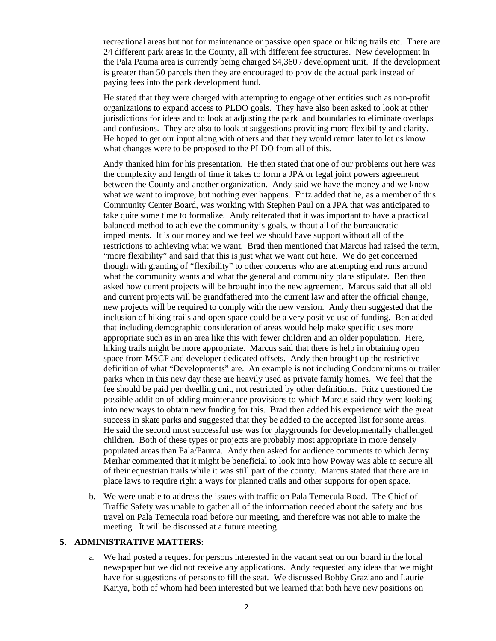recreational areas but not for maintenance or passive open space or hiking trails etc. There are 24 different park areas in the County, all with different fee structures. New development in the Pala Pauma area is currently being charged \$4,360 / development unit. If the development is greater than 50 parcels then they are encouraged to provide the actual park instead of paying fees into the park development fund.

He stated that they were charged with attempting to engage other entities such as non-profit organizations to expand access to PLDO goals. They have also been asked to look at other jurisdictions for ideas and to look at adjusting the park land boundaries to eliminate overlaps and confusions. They are also to look at suggestions providing more flexibility and clarity. He hoped to get our input along with others and that they would return later to let us know what changes were to be proposed to the PLDO from all of this.

Andy thanked him for his presentation. He then stated that one of our problems out here was the complexity and length of time it takes to form a JPA or legal joint powers agreement between the County and another organization. Andy said we have the money and we know what we want to improve, but nothing ever happens. Fritz added that he, as a member of this Community Center Board, was working with Stephen Paul on a JPA that was anticipated to take quite some time to formalize. Andy reiterated that it was important to have a practical balanced method to achieve the community's goals, without all of the bureaucratic impediments. It is our money and we feel we should have support without all of the restrictions to achieving what we want. Brad then mentioned that Marcus had raised the term, "more flexibility" and said that this is just what we want out here. We do get concerned though with granting of "flexibility" to other concerns who are attempting end runs around what the community wants and what the general and community plans stipulate. Ben then asked how current projects will be brought into the new agreement. Marcus said that all old and current projects will be grandfathered into the current law and after the official change, new projects will be required to comply with the new version. Andy then suggested that the inclusion of hiking trails and open space could be a very positive use of funding. Ben added that including demographic consideration of areas would help make specific uses more appropriate such as in an area like this with fewer children and an older population. Here, hiking trails might be more appropriate. Marcus said that there is help in obtaining open space from MSCP and developer dedicated offsets. Andy then brought up the restrictive definition of what "Developments" are. An example is not including Condominiums or trailer parks when in this new day these are heavily used as private family homes. We feel that the fee should be paid per dwelling unit, not restricted by other definitions. Fritz questioned the possible addition of adding maintenance provisions to which Marcus said they were looking into new ways to obtain new funding for this. Brad then added his experience with the great success in skate parks and suggested that they be added to the accepted list for some areas. He said the second most successful use was for playgrounds for developmentally challenged children. Both of these types or projects are probably most appropriate in more densely populated areas than Pala/Pauma. Andy then asked for audience comments to which Jenny Merhar commented that it might be beneficial to look into how Poway was able to secure all of their equestrian trails while it was still part of the county. Marcus stated that there are in place laws to require right a ways for planned trails and other supports for open space.

b. We were unable to address the issues with traffic on Pala Temecula Road. The Chief of Traffic Safety was unable to gather all of the information needed about the safety and bus travel on Pala Temecula road before our meeting, and therefore was not able to make the meeting. It will be discussed at a future meeting.

#### **5. ADMINISTRATIVE MATTERS:**

a. We had posted a request for persons interested in the vacant seat on our board in the local newspaper but we did not receive any applications. Andy requested any ideas that we might have for suggestions of persons to fill the seat. We discussed Bobby Graziano and Laurie Kariya, both of whom had been interested but we learned that both have new positions on